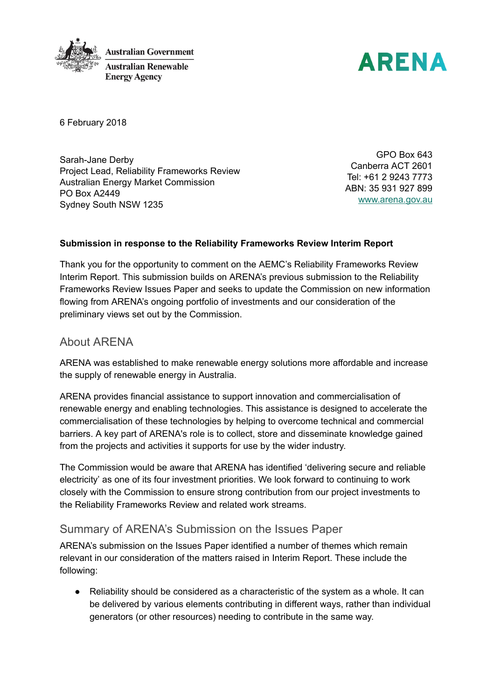



6 February 2018

Sarah-Jane Derby Project Lead, Reliability Frameworks Review Australian Energy Market Commission PO Box A2449 Sydney South NSW 1235

GPO Box 643 Canberra ACT 2601 Tel: +61 2 9243 7773 ABN: 35 931 927 899 [www.arena.gov.au](http://www.arena.gov.au/)

### Submission in response to the Reliability Frameworks Review Interim Report

Thank you for the opportunity to comment on the AEMC's Reliability Frameworks Review Interim Report. This submission builds on ARENA's previous submission to the Reliability Frameworks Review Issues Paper and seeks to update the Commission on new information flowing from ARENA's ongoing portfolio of investments and our consideration of the preliminary views set out by the Commission.

## About ARENA

ARENA was established to make renewable energy solutions more affordable and increase the supply of renewable energy in Australia.

ARENA provides financial assistance to support innovation and commercialisation of renewable energy and enabling technologies. This assistance is designed to accelerate the commercialisation of these technologies by helping to overcome technical and commercial barriers. A key part of ARENA's role is to collect, store and disseminate knowledge gained from the projects and activities it supports for use by the wider industry.

The Commission would be aware that ARENA has identified 'delivering secure and reliable electricity' as one of its four investment priorities. We look forward to continuing to work closely with the Commission to ensure strong contribution from our project investments to the Reliability Frameworks Review and related work streams.

# Summary of ARENA's Submission on the Issues Paper

ARENA's submission on the Issues Paper identified a number of themes which remain relevant in our consideration of the matters raised in Interim Report. These include the following:

● Reliability should be considered as a characteristic of the system as a whole. It can be delivered by various elements contributing in different ways, rather than individual generators (or other resources) needing to contribute in the same way.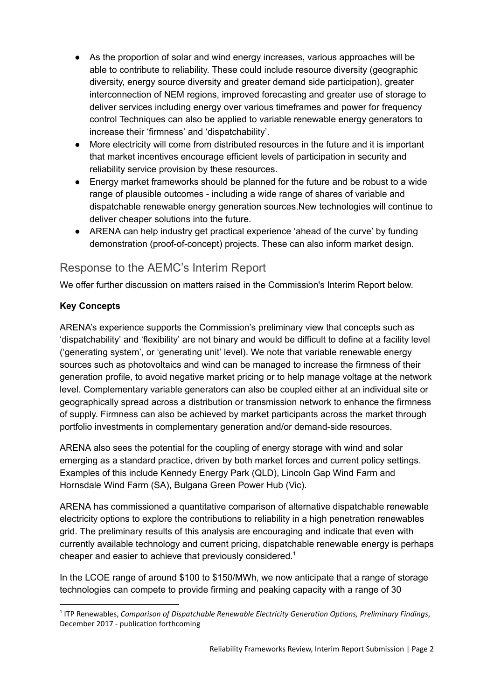- As the proportion of solar and wind energy increases, various approaches will be able to contribute to reliability. These could include resource diversity (geographic diversity, energy source diversity and greater demand side participation), greater interconnection of NEM regions, improved forecasting and greater use of storage to deliver services including energy over various timeframes and power for frequency control Techniques can also be applied to variable renewable energy generators to increase their 'firmness' and 'dispatchability'.
- More electricity will come from distributed resources in the future and it is important that market incentives encourage efficient levels of participation in security and reliability service provision by these resources.
- Energy market frameworks should be planned for the future and be robust to a wide range of plausible outcomes - including a wide range of shares of variable and dispatchable renewable energy generation sources.New technologies will continue to deliver cheaper solutions into the future.
- ARENA can help industry get practical experience 'ahead of the curve' by funding demonstration (proof-of-concept) projects. These can also inform market design.

# Response to the AEMC's Interim Report

We offer further discussion on matters raised in the Commission's Interim Report below.

## Key Concepts

ARENA's experience supports the Commission's preliminary view that concepts such as 'dispatchability' and 'flexibility' are not binary and would be difficult to define at a facility level ('generating system', or 'generating unit' level). We note that variable renewable energy sources such as photovoltaics and wind can be managed to increase the firmness of their generation profile, to avoid negative market pricing or to help manage voltage at the network level. Complementary variable generators can also be coupled either at an individual site or geographically spread across a distribution or transmission network to enhance the firmness of supply. Firmness can also be achieved by market participants across the market through portfolio investments in complementary generation and/or demand-side resources.

ARENA also sees the potential for the coupling of energy storage with wind and solar emerging as a standard practice, driven by both market forces and current policy settings. Examples of this include Kennedy Energy Park (QLD), Lincoln Gap Wind Farm and Hornsdale Wind Farm (SA), Bulgana Green Power Hub (Vic).

ARENA has commissioned a quantitative comparison of alternative dispatchable renewable electricity options to explore the contributions to reliability in a high penetration renewables grid. The preliminary results of this analysis are encouraging and indicate that even with currently available technology and current pricing, dispatchable renewable energy is perhaps cheaper and easier to achieve that previously considered. 1

In the LCOE range of around \$100 to \$150/MWh, we now anticipate that a range of storage technologies can compete to provide firming and peaking capacity with a range of 30

<sup>&</sup>lt;sup>1</sup> ITP Renewables, Comparison of Dispatchable Renewable Electricity Generation Options, Preliminary Findings, December 2017 - publication forthcoming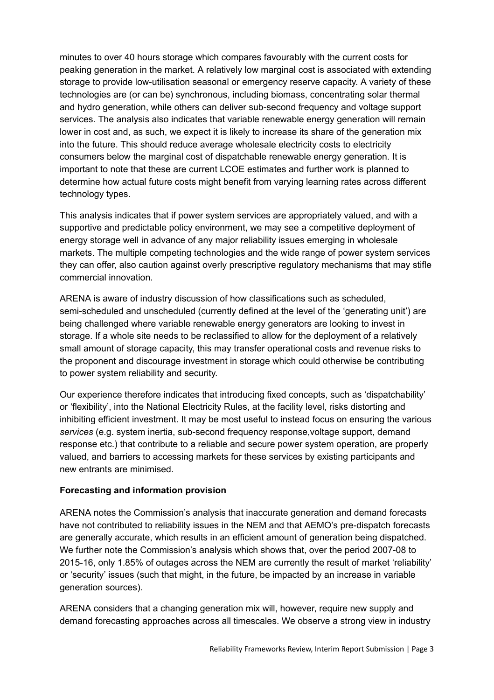minutes to over 40 hours storage which compares favourably with the current costs for peaking generation in the market. A relatively low marginal cost is associated with extending storage to provide low-utilisation seasonal or emergency reserve capacity. A variety of these technologies are (or can be) synchronous, including biomass, concentrating solar thermal and hydro generation, while others can deliver sub-second frequency and voltage support services. The analysis also indicates that variable renewable energy generation will remain lower in cost and, as such, we expect it is likely to increase its share of the generation mix into the future. This should reduce average wholesale electricity costs to electricity consumers below the marginal cost of dispatchable renewable energy generation. It is important to note that these are current LCOE estimates and further work is planned to determine how actual future costs might benefit from varying learning rates across different technology types.

This analysis indicates that if power system services are appropriately valued, and with a supportive and predictable policy environment, we may see a competitive deployment of energy storage well in advance of any major reliability issues emerging in wholesale markets. The multiple competing technologies and the wide range of power system services they can offer, also caution against overly prescriptive regulatory mechanisms that may stifle commercial innovation.

ARENA is aware of industry discussion of how classifications such as scheduled, semi-scheduled and unscheduled (currently defined at the level of the 'generating unit') are being challenged where variable renewable energy generators are looking to invest in storage. If a whole site needs to be reclassified to allow for the deployment of a relatively small amount of storage capacity, this may transfer operational costs and revenue risks to the proponent and discourage investment in storage which could otherwise be contributing to power system reliability and security.

Our experience therefore indicates that introducing fixed concepts, such as 'dispatchability' or 'flexibility', into the National Electricity Rules, at the facility level, risks distorting and inhibiting efficient investment. It may be most useful to instead focus on ensuring the various services (e.g. system inertia, sub-second frequency response,voltage support, demand response etc.) that contribute to a reliable and secure power system operation, are properly valued, and barriers to accessing markets for these services by existing participants and new entrants are minimised.

#### Forecasting and information provision

ARENA notes the Commission's analysis that inaccurate generation and demand forecasts have not contributed to reliability issues in the NEM and that AEMO's pre-dispatch forecasts are generally accurate, which results in an efficient amount of generation being dispatched. We further note the Commission's analysis which shows that, over the period 2007-08 to 2015-16, only 1.85% of outages across the NEM are currently the result of market 'reliability' or 'security' issues (such that might, in the future, be impacted by an increase in variable generation sources).

ARENA considers that a changing generation mix will, however, require new supply and demand forecasting approaches across all timescales. We observe a strong view in industry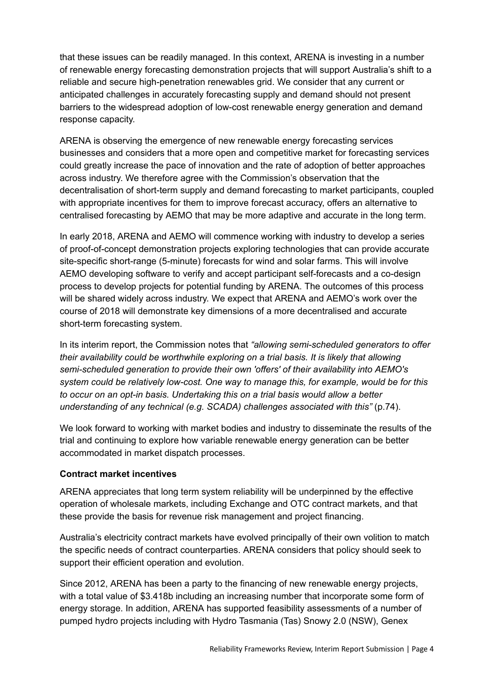that these issues can be readily managed. In this context, ARENA is investing in a number of renewable energy forecasting demonstration projects that will support Australia's shift to a reliable and secure high-penetration renewables grid. We consider that any current or anticipated challenges in accurately forecasting supply and demand should not present barriers to the widespread adoption of low-cost renewable energy generation and demand response capacity.

ARENA is observing the emergence of new renewable energy forecasting services businesses and considers that a more open and competitive market for forecasting services could greatly increase the pace of innovation and the rate of adoption of better approaches across industry. We therefore agree with the Commission's observation that the decentralisation of short-term supply and demand forecasting to market participants, coupled with appropriate incentives for them to improve forecast accuracy, offers an alternative to centralised forecasting by AEMO that may be more adaptive and accurate in the long term.

In early 2018, ARENA and AEMO will commence working with industry to develop a series of proof-of-concept demonstration projects exploring technologies that can provide accurate site-specific short-range (5-minute) forecasts for wind and solar farms. This will involve AEMO developing software to verify and accept participant self-forecasts and a co-design process to develop projects for potential funding by ARENA. The outcomes of this process will be shared widely across industry. We expect that ARENA and AEMO's work over the course of 2018 will demonstrate key dimensions of a more decentralised and accurate short-term forecasting system.

In its interim report, the Commission notes that "allowing semi-scheduled generators to offer their availability could be worthwhile exploring on a trial basis. It is likely that allowing semi-scheduled generation to provide their own 'offers' of their availability into AEMO's system could be relatively low-cost. One way to manage this, for example, would be for this to occur on an opt-in basis. Undertaking this on a trial basis would allow a better understanding of any technical (e.g. SCADA) challenges associated with this" (p.74).

We look forward to working with market bodies and industry to disseminate the results of the trial and continuing to explore how variable renewable energy generation can be better accommodated in market dispatch processes.

#### Contract market incentives

ARENA appreciates that long term system reliability will be underpinned by the effective operation of wholesale markets, including Exchange and OTC contract markets, and that these provide the basis for revenue risk management and project financing.

Australia's electricity contract markets have evolved principally of their own volition to match the specific needs of contract counterparties. ARENA considers that policy should seek to support their efficient operation and evolution.

Since 2012, ARENA has been a party to the financing of new renewable energy projects, with a total value of \$3.418b including an increasing number that incorporate some form of energy storage. In addition, ARENA has supported feasibility assessments of a number of pumped hydro projects including with Hydro Tasmania (Tas) Snowy 2.0 (NSW), Genex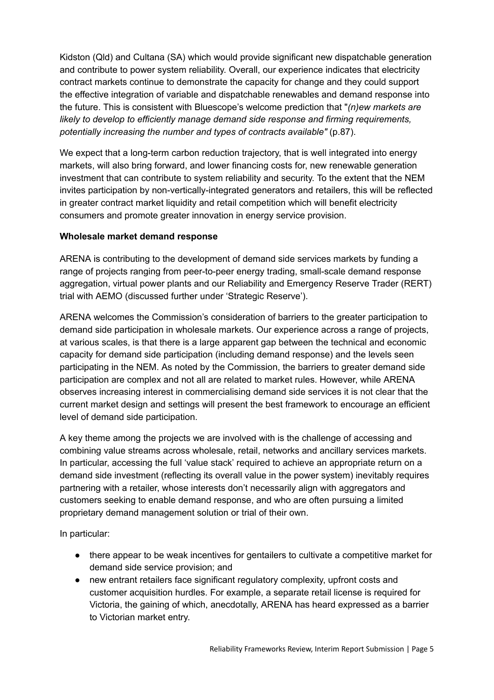Kidston (Qld) and Cultana (SA) which would provide significant new dispatchable generation and contribute to power system reliability. Overall, our experience indicates that electricity contract markets continue to demonstrate the capacity for change and they could support the effective integration of variable and dispatchable renewables and demand response into the future. This is consistent with Bluescope's welcome prediction that " $(n)$ ew markets are likely to develop to efficiently manage demand side response and firming requirements, potentially increasing the number and types of contracts available" (p.87).

We expect that a long-term carbon reduction trajectory, that is well integrated into energy markets, will also bring forward, and lower financing costs for, new renewable generation investment that can contribute to system reliability and security. To the extent that the NEM invites participation by non-vertically-integrated generators and retailers, this will be reflected in greater contract market liquidity and retail competition which will benefit electricity consumers and promote greater innovation in energy service provision.

#### Wholesale market demand response

ARENA is contributing to the development of demand side services markets by funding a range of projects ranging from peer-to-peer energy trading, small-scale demand response aggregation, virtual power plants and our Reliability and Emergency Reserve Trader (RERT) trial with AEMO (discussed further under 'Strategic Reserve').

ARENA welcomes the Commission's consideration of barriers to the greater participation to demand side participation in wholesale markets. Our experience across a range of projects, at various scales, is that there is a large apparent gap between the technical and economic capacity for demand side participation (including demand response) and the levels seen participating in the NEM. As noted by the Commission, the barriers to greater demand side participation are complex and not all are related to market rules. However, while ARENA observes increasing interest in commercialising demand side services it is not clear that the current market design and settings will present the best framework to encourage an efficient level of demand side participation.

A key theme among the projects we are involved with is the challenge of accessing and combining value streams across wholesale, retail, networks and ancillary services markets. In particular, accessing the full 'value stack' required to achieve an appropriate return on a demand side investment (reflecting its overall value in the power system) inevitably requires partnering with a retailer, whose interests don't necessarily align with aggregators and customers seeking to enable demand response, and who are often pursuing a limited proprietary demand management solution or trial of their own.

In particular:

- there appear to be weak incentives for gentailers to cultivate a competitive market for demand side service provision; and
- new entrant retailers face significant regulatory complexity, upfront costs and customer acquisition hurdles. For example, a separate retail license is required for Victoria, the gaining of which, anecdotally, ARENA has heard expressed as a barrier to Victorian market entry.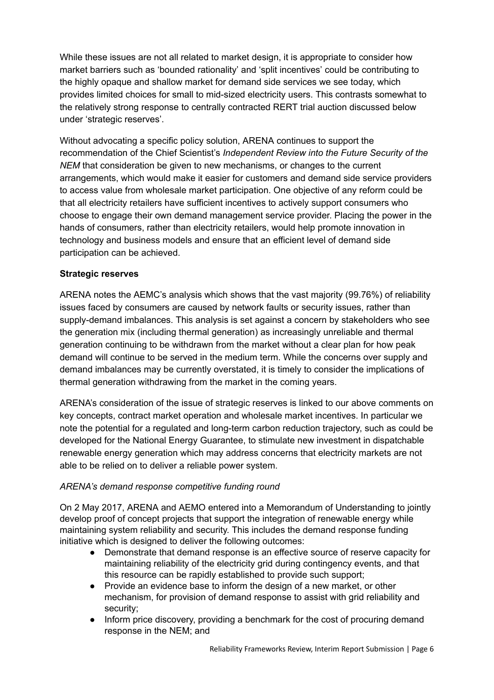While these issues are not all related to market design, it is appropriate to consider how market barriers such as 'bounded rationality' and 'split incentives' could be contributing to the highly opaque and shallow market for demand side services we see today, which provides limited choices for small to mid-sized electricity users. This contrasts somewhat to the relatively strong response to centrally contracted RERT trial auction discussed below under 'strategic reserves'.

Without advocating a specific policy solution, ARENA continues to support the recommendation of the Chief Scientist's Independent Review into the Future Security of the NEM that consideration be given to new mechanisms, or changes to the current arrangements, which would make it easier for customers and demand side service providers to access value from wholesale market participation. One objective of any reform could be that all electricity retailers have sufficient incentives to actively support consumers who choose to engage their own demand management service provider. Placing the power in the hands of consumers, rather than electricity retailers, would help promote innovation in technology and business models and ensure that an efficient level of demand side participation can be achieved.

#### Strategic reserves

ARENA notes the AEMC's analysis which shows that the vast majority (99.76%) of reliability issues faced by consumers are caused by network faults or security issues, rather than supply-demand imbalances. This analysis is set against a concern by stakeholders who see the generation mix (including thermal generation) as increasingly unreliable and thermal generation continuing to be withdrawn from the market without a clear plan for how peak demand will continue to be served in the medium term. While the concerns over supply and demand imbalances may be currently overstated, it is timely to consider the implications of thermal generation withdrawing from the market in the coming years.

ARENA's consideration of the issue of strategic reserves is linked to our above comments on key concepts, contract market operation and wholesale market incentives. In particular we note the potential for a regulated and long-term carbon reduction trajectory, such as could be developed for the National Energy Guarantee, to stimulate new investment in dispatchable renewable energy generation which may address concerns that electricity markets are not able to be relied on to deliver a reliable power system.

#### ARENA's demand response competitive funding round

On 2 May 2017, ARENA and AEMO entered into a Memorandum of Understanding to jointly develop proof of concept projects that support the integration of renewable energy while maintaining system reliability and security. This includes the demand response funding initiative which is designed to deliver the following outcomes:

- Demonstrate that demand response is an effective source of reserve capacity for maintaining reliability of the electricity grid during contingency events, and that this resource can be rapidly established to provide such support;
- Provide an evidence base to inform the design of a new market, or other mechanism, for provision of demand response to assist with grid reliability and security;
- Inform price discovery, providing a benchmark for the cost of procuring demand response in the NEM; and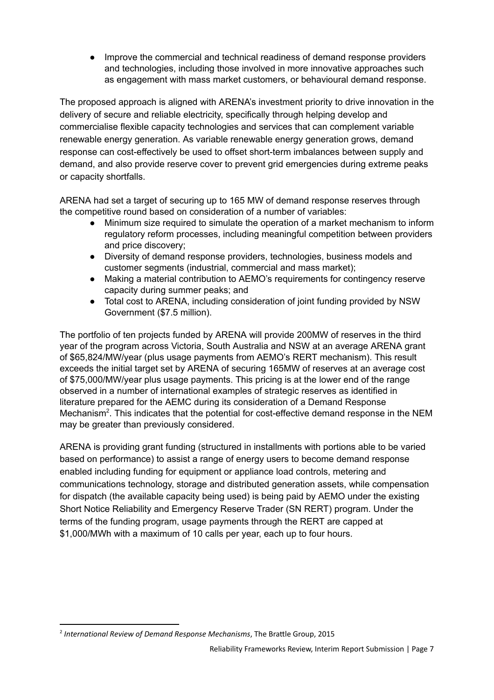● Improve the commercial and technical readiness of demand response providers and technologies, including those involved in more innovative approaches such as engagement with mass market customers, or behavioural demand response.

The proposed approach is aligned with ARENA's investment priority to drive innovation in the delivery of secure and reliable electricity, specifically through helping develop and commercialise flexible capacity technologies and services that can complement variable renewable energy generation. As variable renewable energy generation grows, demand response can cost-effectively be used to offset short-term imbalances between supply and demand, and also provide reserve cover to prevent grid emergencies during extreme peaks or capacity shortfalls.

ARENA had set a target of securing up to 165 MW of demand response reserves through the competitive round based on consideration of a number of variables:

- Minimum size required to simulate the operation of a market mechanism to inform regulatory reform processes, including meaningful competition between providers and price discovery;
- Diversity of demand response providers, technologies, business models and customer segments (industrial, commercial and mass market);
- Making a material contribution to AEMO's requirements for contingency reserve capacity during summer peaks; and
- Total cost to ARENA, including consideration of joint funding provided by NSW Government (\$7.5 million).

The portfolio of ten projects funded by ARENA will provide 200MW of reserves in the third year of the program across Victoria, South Australia and NSW at an average ARENA grant of \$65,824/MW/year (plus usage payments from AEMO's RERT mechanism). This result exceeds the initial target set by ARENA of securing 165MW of reserves at an average cost of \$75,000/MW/year plus usage payments. This pricing is at the lower end of the range observed in a number of international examples of strategic reserves as identified in literature prepared for the AEMC during its consideration of a Demand Response Mechanism<sup>2</sup>. This indicates that the potential for cost-effective demand response in the NEM may be greater than previously considered.

ARENA is providing grant funding (structured in installments with portions able to be varied based on performance) to assist a range of energy users to become demand response enabled including funding for equipment or appliance load controls, metering and communications technology, storage and distributed generation assets, while compensation for dispatch (the available capacity being used) is being paid by AEMO under the existing Short Notice Reliability and Emergency Reserve Trader (SN RERT) program. Under the terms of the funding program, usage payments through the RERT are capped at \$1,000/MWh with a maximum of 10 calls per year, each up to four hours.

<sup>&</sup>lt;sup>2</sup> International Review of Demand Response Mechanisms, The Brattle Group, 2015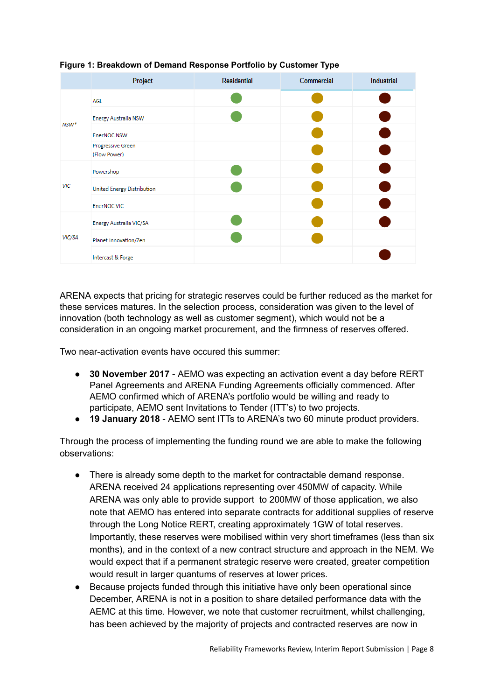

### Figure 1: Breakdown of Demand Response Portfolio by Customer Type

ARENA expects that pricing for strategic reserves could be further reduced as the market for these services matures. In the selection process, consideration was given to the level of innovation (both technology as well as customer segment), which would not be a consideration in an ongoing market procurement, and the firmness of reserves offered.

Two near-activation events have occured this summer:

- 30 November 2017 AEMO was expecting an activation event a day before RERT Panel Agreements and ARENA Funding Agreements officially commenced. After AEMO confirmed which of ARENA's portfolio would be willing and ready to participate, AEMO sent Invitations to Tender (ITT's) to two projects.
- 19 January 2018 AEMO sent ITTs to ARENA's two 60 minute product providers.

Through the process of implementing the funding round we are able to make the following observations:

- There is already some depth to the market for contractable demand response. ARENA received 24 applications representing over 450MW of capacity. While ARENA was only able to provide support to 200MW of those application, we also note that AEMO has entered into separate contracts for additional supplies of reserve through the Long Notice RERT, creating approximately 1GW of total reserves. Importantly, these reserves were mobilised within very short timeframes (less than six months), and in the context of a new contract structure and approach in the NEM. We would expect that if a permanent strategic reserve were created, greater competition would result in larger quantums of reserves at lower prices.
- Because projects funded through this initiative have only been operational since December, ARENA is not in a position to share detailed performance data with the AEMC at this time. However, we note that customer recruitment, whilst challenging, has been achieved by the majority of projects and contracted reserves are now in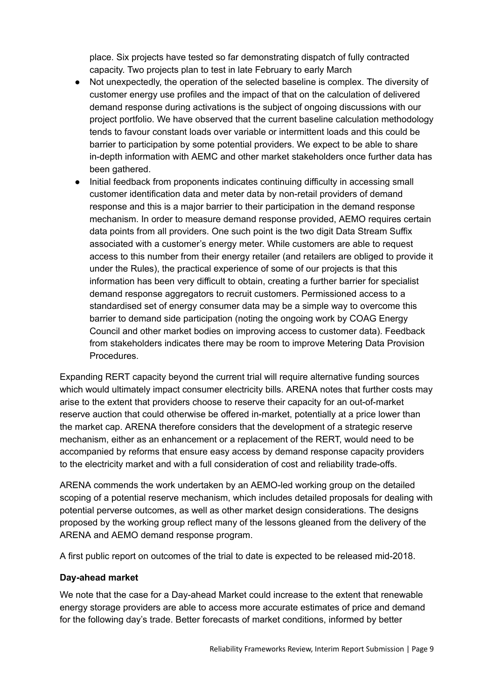place. Six projects have tested so far demonstrating dispatch of fully contracted capacity. Two projects plan to test in late February to early March

- Not unexpectedly, the operation of the selected baseline is complex. The diversity of customer energy use profiles and the impact of that on the calculation of delivered demand response during activations is the subject of ongoing discussions with our project portfolio. We have observed that the current baseline calculation methodology tends to favour constant loads over variable or intermittent loads and this could be barrier to participation by some potential providers. We expect to be able to share in-depth information with AEMC and other market stakeholders once further data has been gathered.
- Initial feedback from proponents indicates continuing difficulty in accessing small customer identification data and meter data by non-retail providers of demand response and this is a major barrier to their participation in the demand response mechanism. In order to measure demand response provided, AEMO requires certain data points from all providers. One such point is the two digit Data Stream Suffix associated with a customer's energy meter. While customers are able to request access to this number from their energy retailer (and retailers are obliged to provide it under the Rules), the practical experience of some of our projects is that this information has been very difficult to obtain, creating a further barrier for specialist demand response aggregators to recruit customers. Permissioned access to a standardised set of energy consumer data may be a simple way to overcome this barrier to demand side participation (noting the ongoing work by COAG Energy Council and other market bodies on improving access to customer data). Feedback from stakeholders indicates there may be room to improve Metering Data Provision Procedures.

Expanding RERT capacity beyond the current trial will require alternative funding sources which would ultimately impact consumer electricity bills. ARENA notes that further costs may arise to the extent that providers choose to reserve their capacity for an out-of-market reserve auction that could otherwise be offered in-market, potentially at a price lower than the market cap. ARENA therefore considers that the development of a strategic reserve mechanism, either as an enhancement or a replacement of the RERT, would need to be accompanied by reforms that ensure easy access by demand response capacity providers to the electricity market and with a full consideration of cost and reliability trade-offs.

ARENA commends the work undertaken by an AEMO-led working group on the detailed scoping of a potential reserve mechanism, which includes detailed proposals for dealing with potential perverse outcomes, as well as other market design considerations. The designs proposed by the working group reflect many of the lessons gleaned from the delivery of the ARENA and AEMO demand response program.

A first public report on outcomes of the trial to date is expected to be released mid-2018.

#### Day-ahead market

We note that the case for a Day-ahead Market could increase to the extent that renewable energy storage providers are able to access more accurate estimates of price and demand for the following day's trade. Better forecasts of market conditions, informed by better